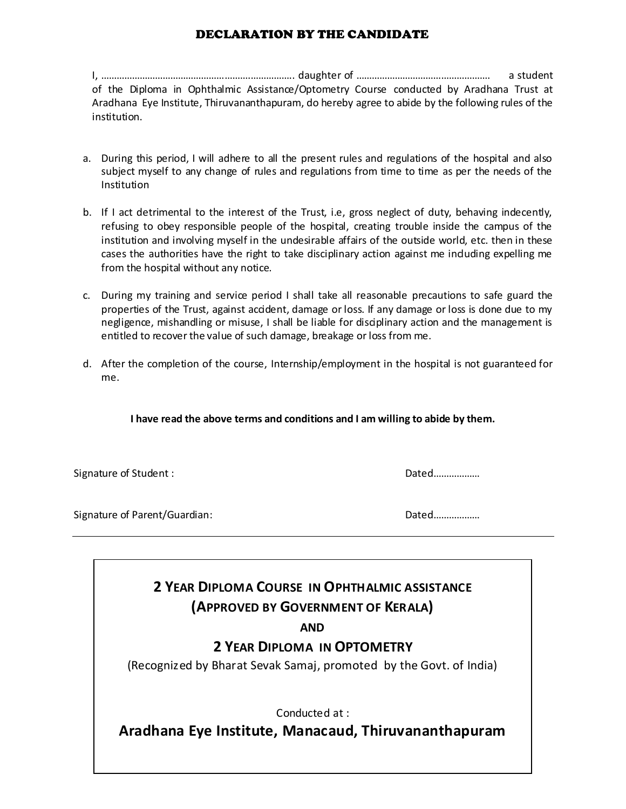## DECLARATION BY THE CANDIDATE

I, ………………………………………………….…………….. daughter of ……………………………………………. a student of the Diploma in Ophthalmic Assistance/Optometry Course conducted by Aradhana Trust at Aradhana Eye Institute, Thiruvananthapuram, do hereby agree to abide by the following rules of the institution.

- a. During this period, I will adhere to all the present rules and regulations of the hospital and also subject myself to any change of rules and regulations from time to time as per the needs of the Institution
- b. If I act detrimental to the interest of the Trust, i.e, gross neglect of duty, behaving indecently, refusing to obey responsible people of the hospital, creating trouble inside the campus of the institution and involving myself in the undesirable affairs of the outside world, etc. then in these cases the authorities have the right to take disciplinary action against me including expelling me from the hospital without any notice.
- c. During my training and service period I shall take all reasonable precautions to safe guard the properties of the Trust, against accident, damage or loss. If any damage or loss is done due to my negligence, mishandling or misuse, I shall be liable for disciplinary action and the management is entitled to recover the value of such damage, breakage or loss from me.
- d. After the completion of the course, Internship/employment in the hospital is not guaranteed for me.

**I have read the above terms and conditions and I am willing to abide by them.**

Signature of Student : Dated………………

Signature of Parent/Guardian: Dated………………

**2 YEAR DIPLOMA COURSE IN OPHTHALMIC ASSISTANCE (APPROVED BY GOVERNMENT OF KERALA)**

**AND**

**2 YEAR DIPLOMA IN OPTOMETRY**

(Recognized by Bharat Sevak Samaj, promoted by the Govt. of India)

Conducted at :

**Aradhana Eye Institute, Manacaud, Thiruvananthapuram**